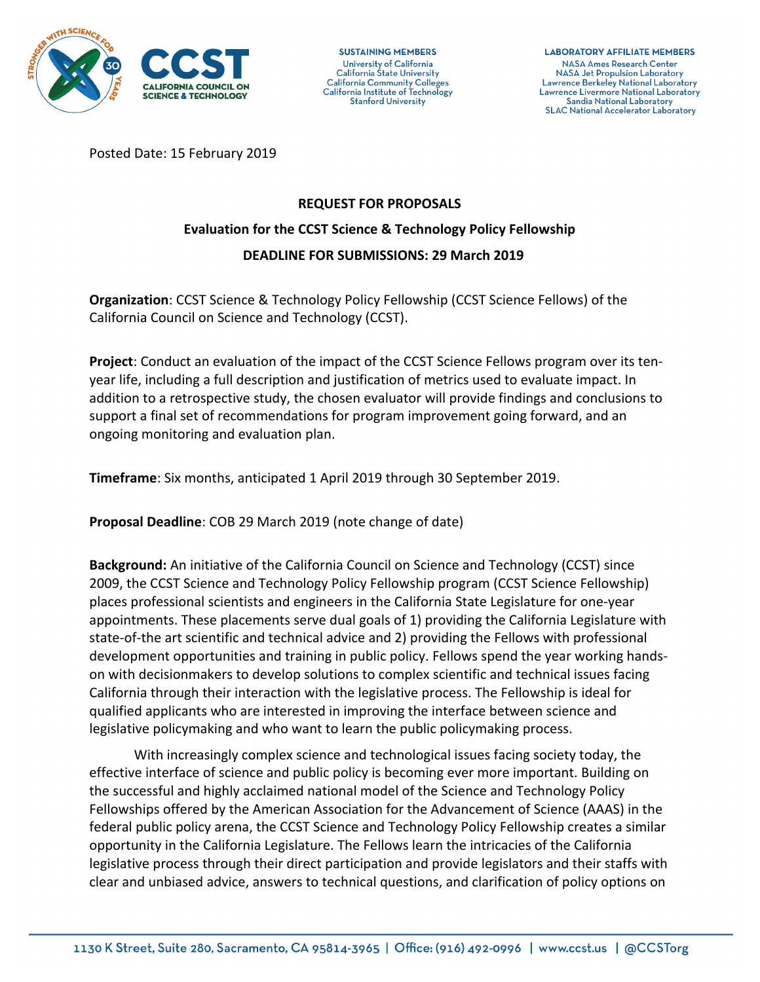

**SUSTAINING MEMBERS** University of California California State University California Community Colleges California Institute of Technology **Stanford University** 

**LABORATORY AFFILIATE MEMBERS NASA Ames Research Center NASA Jet Propulsion Laboratory** Lawrence Berkeley National Laboratory Lawrence Livermore National Laboratory Sandia National Laboratory **SLAC National Accelerator Laboratory** 

Posted Date: 15 February 2019

# **REQUEST FOR PROPOSALS**

## **Evaluation for the CCST Science & Technology Policy Fellowship DEADLINE FOR SUBMISSIONS: 29 March 2019**

**Organization**: CCST Science & Technology Policy Fellowship (CCST Science Fellows) of the California Council on Science and Technology (CCST).

**Project:** Conduct an evaluation of the impact of the CCST Science Fellows program over its tenyear life, including a full description and justification of metrics used to evaluate impact. In addition to a retrospective study, the chosen evaluator will provide findings and conclusions to support a final set of recommendations for program improvement going forward, and an ongoing monitoring and evaluation plan.

**Timeframe**: Six months, anticipated 1 April 2019 through 30 September 2019.

**Proposal Deadline:** COB 29 March 2019 (note change of date)

**Background:** An initiative of the California Council on Science and Technology (CCST) since 2009, the CCST Science and Technology Policy Fellowship program (CCST Science Fellowship) places professional scientists and engineers in the California State Legislature for one-year appointments. These placements serve dual goals of 1) providing the California Legislature with state-of-the art scientific and technical advice and 2) providing the Fellows with professional development opportunities and training in public policy. Fellows spend the year working handson with decisionmakers to develop solutions to complex scientific and technical issues facing California through their interaction with the legislative process. The Fellowship is ideal for qualified applicants who are interested in improving the interface between science and legislative policymaking and who want to learn the public policymaking process.

With increasingly complex science and technological issues facing society today, the effective interface of science and public policy is becoming ever more important. Building on the successful and highly acclaimed national model of the Science and Technology Policy Fellowships offered by the American Association for the Advancement of Science (AAAS) in the federal public policy arena, the CCST Science and Technology Policy Fellowship creates a similar opportunity in the California Legislature. The Fellows learn the intricacies of the California legislative process through their direct participation and provide legislators and their staffs with clear and unbiased advice, answers to technical questions, and clarification of policy options on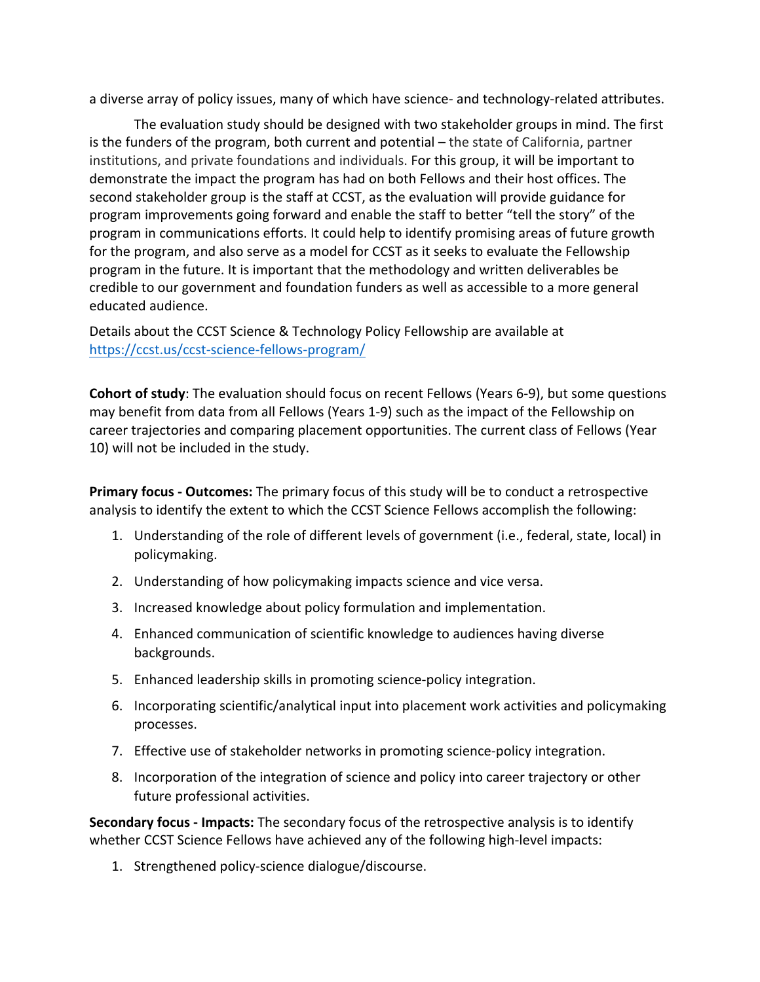a diverse array of policy issues, many of which have science- and technology-related attributes.

The evaluation study should be designed with two stakeholder groups in mind. The first is the funders of the program, both current and potential  $-$  the state of California, partner institutions, and private foundations and individuals. For this group, it will be important to demonstrate the impact the program has had on both Fellows and their host offices. The second stakeholder group is the staff at CCST, as the evaluation will provide guidance for program improvements going forward and enable the staff to better "tell the story" of the program in communications efforts. It could help to identify promising areas of future growth for the program, and also serve as a model for CCST as it seeks to evaluate the Fellowship program in the future. It is important that the methodology and written deliverables be credible to our government and foundation funders as well as accessible to a more general educated audience.

Details about the CCST Science & Technology Policy Fellowship are available at https://ccst.us/ccst-science-fellows-program/

**Cohort of study**: The evaluation should focus on recent Fellows (Years 6-9), but some questions may benefit from data from all Fellows (Years 1-9) such as the impact of the Fellowship on career trajectories and comparing placement opportunities. The current class of Fellows (Year 10) will not be included in the study.

**Primary focus - Outcomes:** The primary focus of this study will be to conduct a retrospective analysis to identify the extent to which the CCST Science Fellows accomplish the following:

- 1. Understanding of the role of different levels of government (i.e., federal, state, local) in policymaking.
- 2. Understanding of how policymaking impacts science and vice versa.
- 3. Increased knowledge about policy formulation and implementation.
- 4. Enhanced communication of scientific knowledge to audiences having diverse backgrounds.
- 5. Enhanced leadership skills in promoting science-policy integration.
- 6. Incorporating scientific/analytical input into placement work activities and policymaking processes.
- 7. Effective use of stakeholder networks in promoting science-policy integration.
- 8. Incorporation of the integration of science and policy into career trajectory or other future professional activities.

**Secondary focus - Impacts:** The secondary focus of the retrospective analysis is to identify whether CCST Science Fellows have achieved any of the following high-level impacts:

1. Strengthened policy-science dialogue/discourse.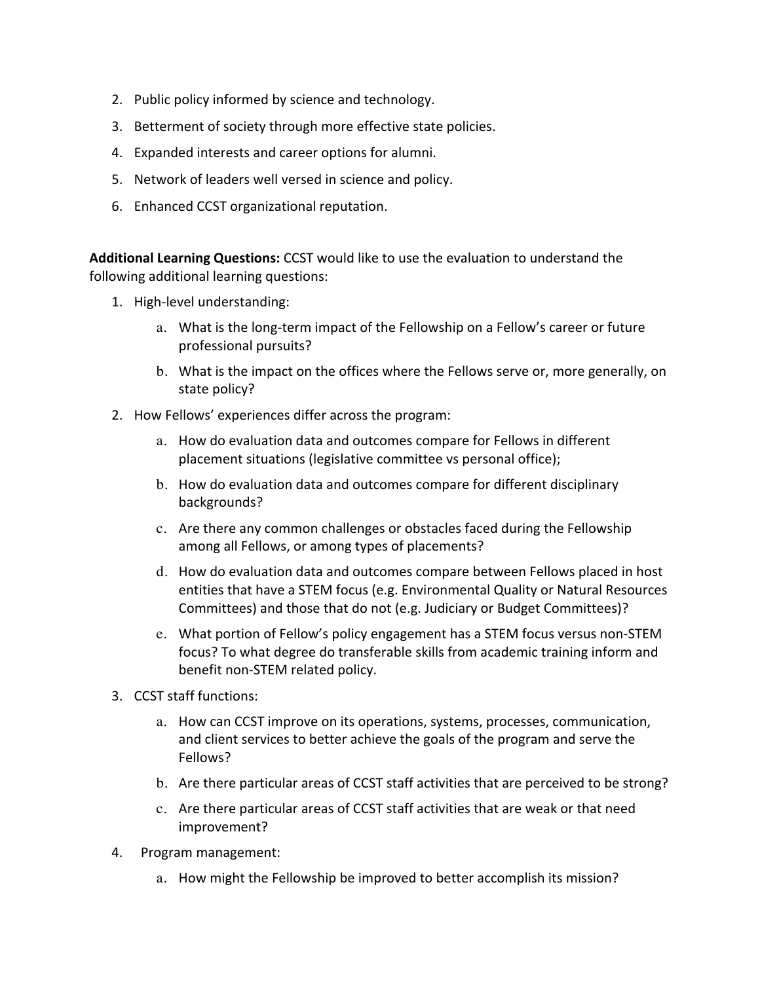- 2. Public policy informed by science and technology.
- 3. Betterment of society through more effective state policies.
- 4. Expanded interests and career options for alumni.
- 5. Network of leaders well versed in science and policy.
- 6. Enhanced CCST organizational reputation.

**Additional Learning Questions:** CCST would like to use the evaluation to understand the following additional learning questions:

- 1. High-level understanding:
	- a. What is the long-term impact of the Fellowship on a Fellow's career or future professional pursuits?
	- b. What is the impact on the offices where the Fellows serve or, more generally, on state policy?
- 2. How Fellows' experiences differ across the program:
	- a. How do evaluation data and outcomes compare for Fellows in different placement situations (legislative committee vs personal office);
	- b. How do evaluation data and outcomes compare for different disciplinary backgrounds?
	- c. Are there any common challenges or obstacles faced during the Fellowship among all Fellows, or among types of placements?
	- d. How do evaluation data and outcomes compare between Fellows placed in host entities that have a STEM focus (e.g. Environmental Quality or Natural Resources Committees) and those that do not (e.g. Judiciary or Budget Committees)?
	- e. What portion of Fellow's policy engagement has a STEM focus versus non-STEM focus? To what degree do transferable skills from academic training inform and benefit non-STEM related policy.
- 3. CCST staff functions:
	- a. How can CCST improve on its operations, systems, processes, communication, and client services to better achieve the goals of the program and serve the Fellows?
	- b. Are there particular areas of CCST staff activities that are perceived to be strong?
	- c. Are there particular areas of CCST staff activities that are weak or that need improvement?
- 4. Program management:
	- a. How might the Fellowship be improved to better accomplish its mission?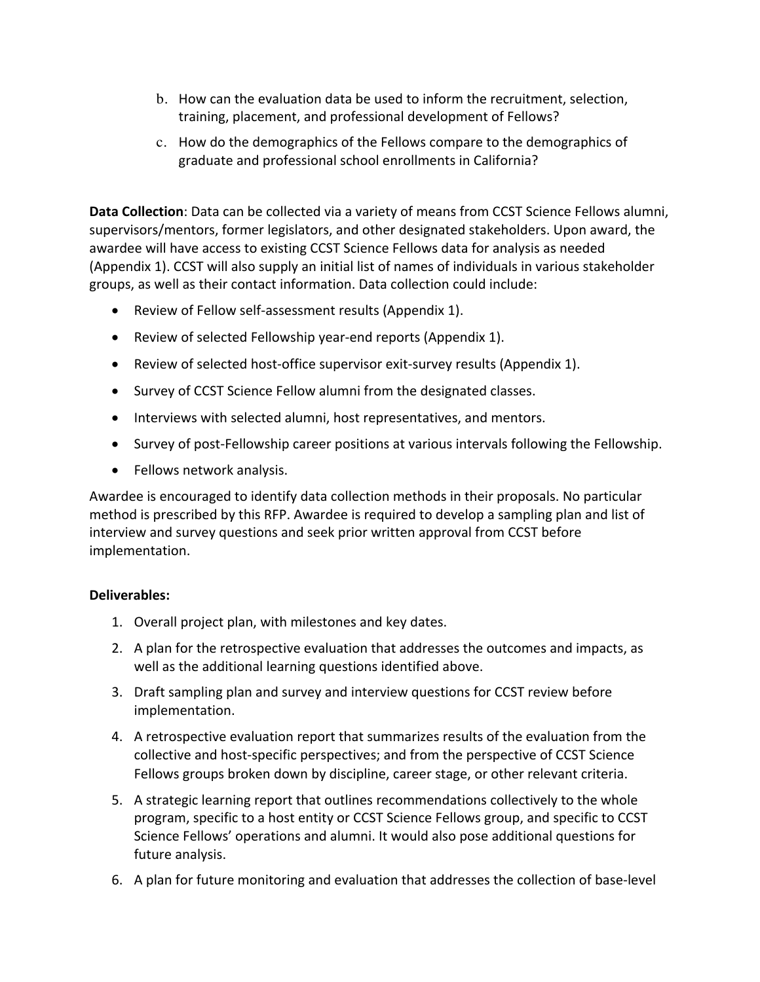- b. How can the evaluation data be used to inform the recruitment, selection, training, placement, and professional development of Fellows?
- c. How do the demographics of the Fellows compare to the demographics of graduate and professional school enrollments in California?

**Data Collection**: Data can be collected via a variety of means from CCST Science Fellows alumni, supervisors/mentors, former legislators, and other designated stakeholders. Upon award, the awardee will have access to existing CCST Science Fellows data for analysis as needed (Appendix 1). CCST will also supply an initial list of names of individuals in various stakeholder groups, as well as their contact information. Data collection could include:

- Review of Fellow self-assessment results (Appendix 1).
- Review of selected Fellowship year-end reports (Appendix 1).
- Review of selected host-office supervisor exit-survey results (Appendix 1).
- Survey of CCST Science Fellow alumni from the designated classes.
- Interviews with selected alumni, host representatives, and mentors.
- Survey of post-Fellowship career positions at various intervals following the Fellowship.
- Fellows network analysis.

Awardee is encouraged to identify data collection methods in their proposals. No particular method is prescribed by this RFP. Awardee is required to develop a sampling plan and list of interview and survey questions and seek prior written approval from CCST before implementation. 

## **Deliverables:**

- 1. Overall project plan, with milestones and key dates.
- 2. A plan for the retrospective evaluation that addresses the outcomes and impacts, as well as the additional learning questions identified above.
- 3. Draft sampling plan and survey and interview questions for CCST review before implementation.
- 4. A retrospective evaluation report that summarizes results of the evaluation from the collective and host-specific perspectives; and from the perspective of CCST Science Fellows groups broken down by discipline, career stage, or other relevant criteria.
- 5. A strategic learning report that outlines recommendations collectively to the whole program, specific to a host entity or CCST Science Fellows group, and specific to CCST Science Fellows' operations and alumni. It would also pose additional questions for future analysis.
- 6. A plan for future monitoring and evaluation that addresses the collection of base-level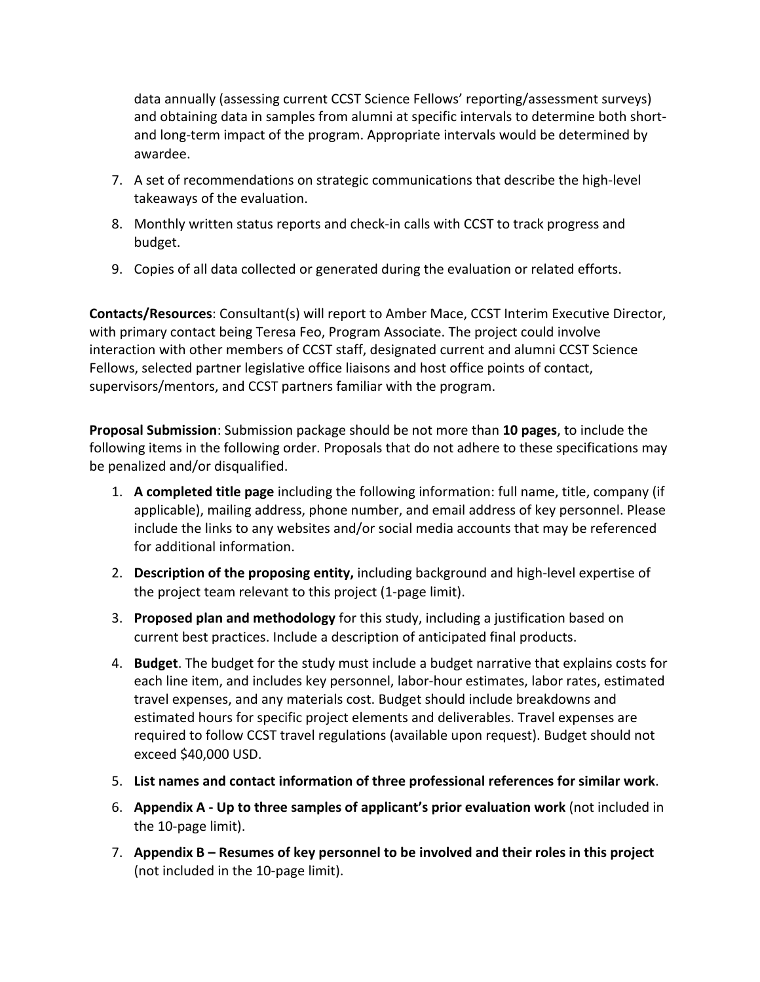data annually (assessing current CCST Science Fellows' reporting/assessment surveys) and obtaining data in samples from alumni at specific intervals to determine both shortand long-term impact of the program. Appropriate intervals would be determined by awardee. 

- 7. A set of recommendations on strategic communications that describe the high-level takeaways of the evaluation.
- 8. Monthly written status reports and check-in calls with CCST to track progress and budget.
- 9. Copies of all data collected or generated during the evaluation or related efforts.

**Contacts/Resources:** Consultant(s) will report to Amber Mace, CCST Interim Executive Director, with primary contact being Teresa Feo, Program Associate. The project could involve interaction with other members of CCST staff, designated current and alumni CCST Science Fellows, selected partner legislative office liaisons and host office points of contact, supervisors/mentors, and CCST partners familiar with the program.

**Proposal Submission**: Submission package should be not more than 10 pages, to include the following items in the following order. Proposals that do not adhere to these specifications may be penalized and/or disqualified.

- 1. A completed title page including the following information: full name, title, company (if applicable), mailing address, phone number, and email address of key personnel. Please include the links to any websites and/or social media accounts that may be referenced for additional information.
- 2. **Description of the proposing entity,** including background and high-level expertise of the project team relevant to this project (1-page limit).
- 3. **Proposed plan and methodology** for this study, including a justification based on current best practices. Include a description of anticipated final products.
- 4. **Budget**. The budget for the study must include a budget narrative that explains costs for each line item, and includes key personnel, labor-hour estimates, labor rates, estimated travel expenses, and any materials cost. Budget should include breakdowns and estimated hours for specific project elements and deliverables. Travel expenses are required to follow CCST travel regulations (available upon request). Budget should not exceed \$40,000 USD.
- 5. List names and contact information of three professional references for similar work.
- 6. Appendix A Up to three samples of applicant's prior evaluation work (not included in the 10-page limit).
- 7. Appendix B Resumes of key personnel to be involved and their roles in this project (not included in the 10-page limit).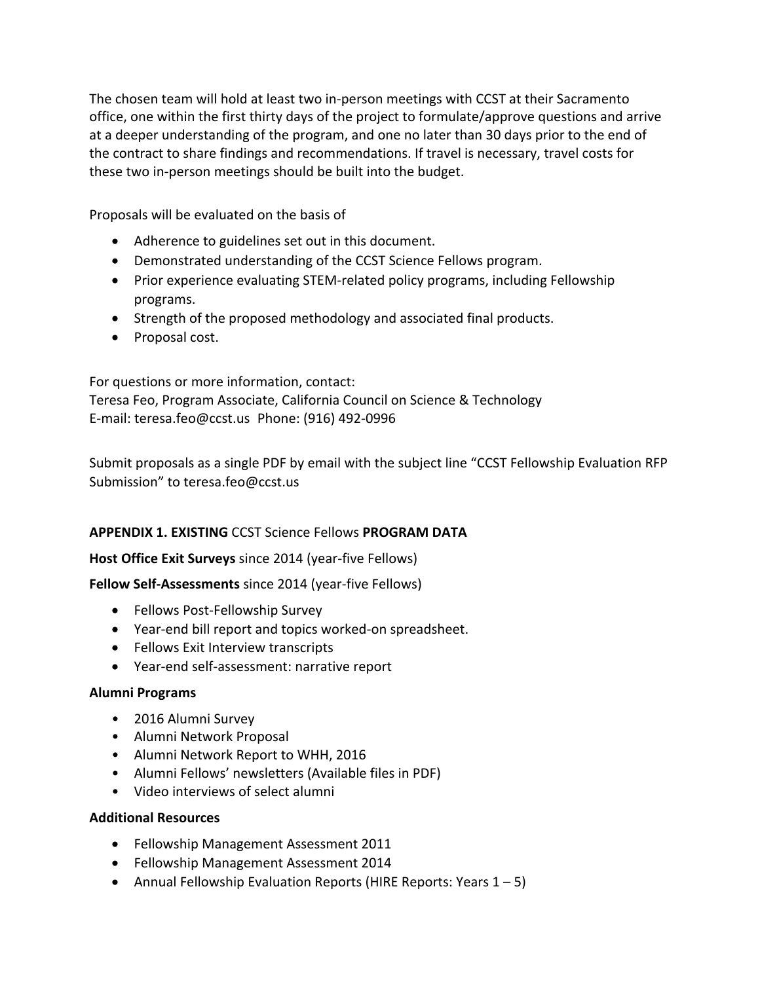The chosen team will hold at least two in-person meetings with CCST at their Sacramento office, one within the first thirty days of the project to formulate/approve questions and arrive at a deeper understanding of the program, and one no later than 30 days prior to the end of the contract to share findings and recommendations. If travel is necessary, travel costs for these two in-person meetings should be built into the budget.

Proposals will be evaluated on the basis of

- Adherence to guidelines set out in this document.
- Demonstrated understanding of the CCST Science Fellows program.
- Prior experience evaluating STEM-related policy programs, including Fellowship programs.
- Strength of the proposed methodology and associated final products.
- Proposal cost.

For questions or more information, contact: Teresa Feo, Program Associate, California Council on Science & Technology E-mail: teresa.feo@ccst.us Phone: (916) 492-0996

Submit proposals as a single PDF by email with the subject line "CCST Fellowship Evaluation RFP Submission" to teresa.feo@ccst.us

## **APPENDIX 1. EXISTING CCST Science Fellows PROGRAM DATA**

## **Host Office Exit Surveys** since 2014 (year-five Fellows)

**Fellow Self-Assessments** since 2014 (year-five Fellows)

- Fellows Post-Fellowship Survey
- Year-end bill report and topics worked-on spreadsheet.
- Fellows Exit Interview transcripts
- Year-end self-assessment: narrative report

#### **Alumni Programs**

- 2016 Alumni Survey
- Alumni Network Proposal
- Alumni Network Report to WHH, 2016
- Alumni Fellows' newsletters (Available files in PDF)
- Video interviews of select alumni

#### **Additional Resources**

- Fellowship Management Assessment 2011
- Fellowship Management Assessment 2014
- Annual Fellowship Evaluation Reports (HIRE Reports: Years  $1 5$ )